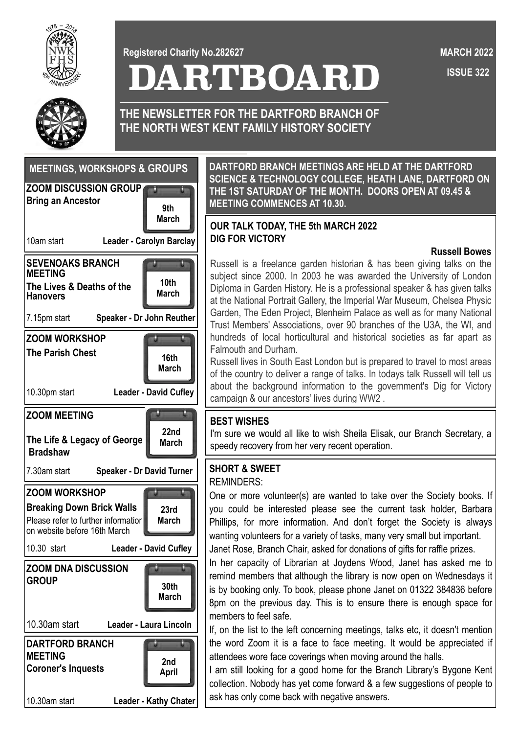

**Registered Charity No.282627**

**DARTBOARD**

 **ISSUE 322 MARCH 2022**



**THE NEWSLETTER FOR THE DARTFORD BRANCH OF THE NORTH WEST KENT FAMILY HISTORY SOCIETY**



**DARTFORD BRANCH MEETINGS ARE HELD AT THE DARTFORD SCIENCE & TECHNOLOGY COLLEGE, HEATH LANE, DARTFORD ON THE 1ST SATURDAY OF THE MONTH. DOORS OPEN AT 09.45 & MEETING COMMENCES AT 10.30.**

## March **DESCRIPTION TALK TODAY.** THE 5th MARCH 2022 **DIG FOR VICTORY**

#### **Russell Bowes**

Russell is a freelance garden historian & has been giving talks on the subject since 2000. In 2003 he was awarded the University of London Diploma in Garden History. He is a professional speaker & has given talks at the National Portrait Gallery, the Imperial War Museum, Chelsea Physic Garden, The Eden Project, Blenheim Palace as well as for many National Trust Members' Associations, over 90 branches of the U3A, the WI, and hundreds of local horticultural and historical societies as far apart as Falmouth and Durham.

Russell lives in South East London but is prepared to travel to most areas of the country to deliver a range of talks. In todays talk Russell will tell us about the background information to the government's Dig for Victory campaign & our ancestors' lives during WW2 .

#### **BEST WISHES**

I'm sure we would all like to wish Sheila Elisak, our Branch Secretary, a speedy recovery from her very recent operation.

# **SHORT & SWEET**

### REMINDERS:

One or more volunteer(s) are wanted to take over the Society books. If you could be interested please see the current task holder, Barbara Phillips, for more information. And don't forget the Society is always wanting volunteers for a variety of tasks, many very small but important. Janet Rose, Branch Chair, asked for donations of gifts for raffle prizes.

In her capacity of Librarian at Joydens Wood, Janet has asked me to remind members that although the library is now open on Wednesdays it is by booking only. To book, please phone Janet on 01322 384836 before 8pm on the previous day. This is to ensure there is enough space for members to feel safe.

If, on the list to the left concerning meetings, talks etc, it doesn't mention the word Zoom it is a face to face meeting. It would be appreciated if attendees wore face coverings when moving around the halls.

I am still looking for a good home for the Branch Library's Bygone Kent collection. Nobody has yet come forward & a few suggestions of people to ask has only come back with negative answers.